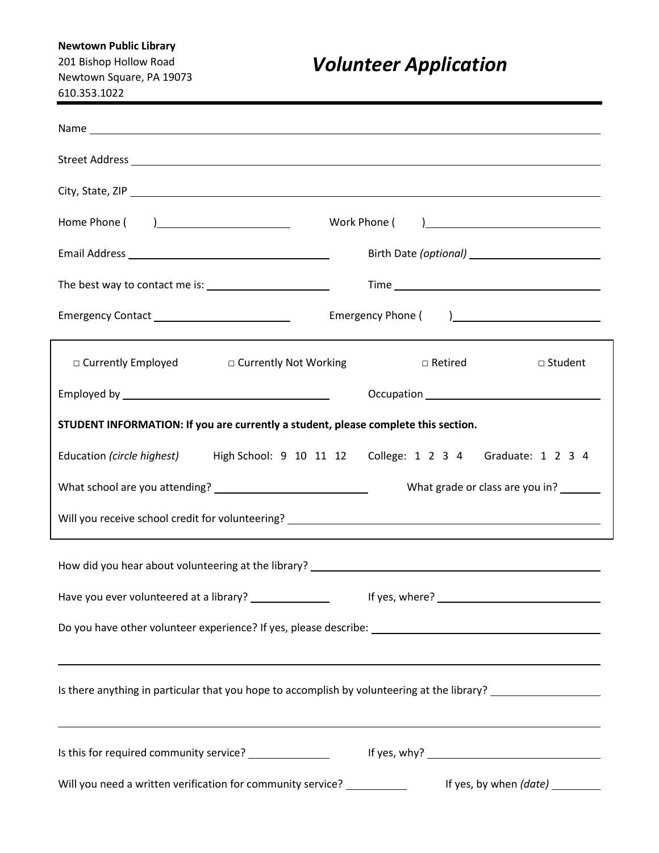# **Newtown Public Library**

201 Bishop Hollow Road Newtown Square, PA 19073 610.353.1022

# *Volunteer Application*

| Emergency Contact _____________________________                                                                                                                                                    |                                                                                                                              |  |  |  |  |
|----------------------------------------------------------------------------------------------------------------------------------------------------------------------------------------------------|------------------------------------------------------------------------------------------------------------------------------|--|--|--|--|
| □ Currently Employed □ Currently Not Working                                                                                                                                                       | texted a settled a settled a set of a set of a set of a set of a set of a set of a set of a set of a set of a s<br>□ Student |  |  |  |  |
|                                                                                                                                                                                                    |                                                                                                                              |  |  |  |  |
| STUDENT INFORMATION: If you are currently a student, please complete this section.                                                                                                                 |                                                                                                                              |  |  |  |  |
| Education (circle highest)                                                                                                                                                                         | High School: 9 10 11 12 College: 1 2 3 4 Graduate: 1 2 3 4                                                                   |  |  |  |  |
|                                                                                                                                                                                                    | What grade or class are you in? _______                                                                                      |  |  |  |  |
|                                                                                                                                                                                                    |                                                                                                                              |  |  |  |  |
|                                                                                                                                                                                                    |                                                                                                                              |  |  |  |  |
| Have you ever volunteered at a library? _______________                                                                                                                                            |                                                                                                                              |  |  |  |  |
| ,我们也不会有什么?""我们的人,我们也不会有什么?""我们的人,我们也不会有什么?""我们的人,我们也不会有什么?""我们的人,我们也不会有什么?""我们的人                                                                                                                   |                                                                                                                              |  |  |  |  |
| Is there anything in particular that you hope to accomplish by volunteering at the library? __________________<br>,我们也不会有什么。""我们的人,我们也不会有什么?""我们的人,我们也不会有什么?""我们的人,我们也不会有什么?""我们的人,我们也不会有什么?""我们的人 |                                                                                                                              |  |  |  |  |
| Is this for required community service? _______________                                                                                                                                            |                                                                                                                              |  |  |  |  |
| Will you need a written verification for community service? ____________                                                                                                                           | If yes, by when (date) _________                                                                                             |  |  |  |  |